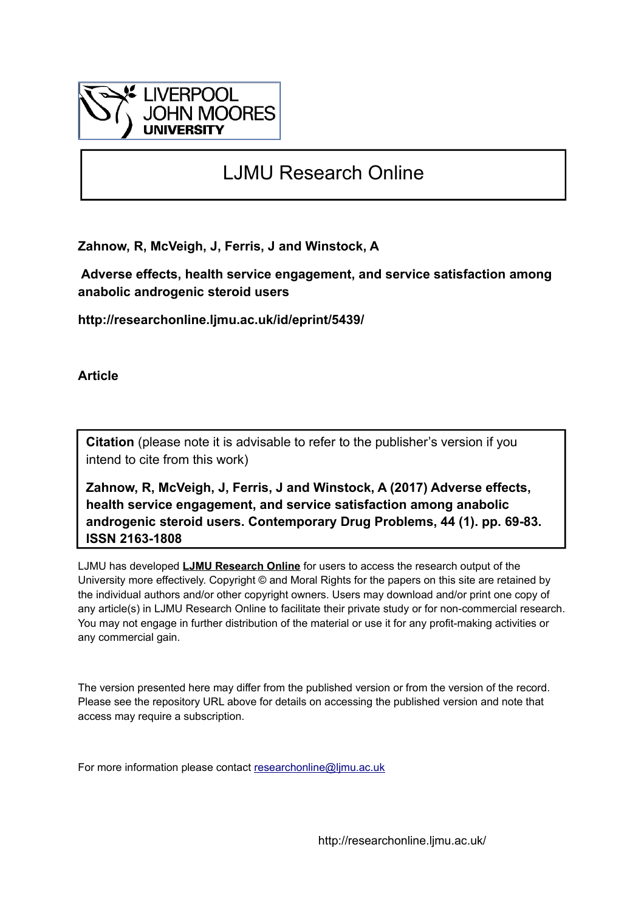

# LJMU Research Online

**Zahnow, R, McVeigh, J, Ferris, J and Winstock, A**

 **Adverse effects, health service engagement, and service satisfaction among anabolic androgenic steroid users**

**http://researchonline.ljmu.ac.uk/id/eprint/5439/**

**Article**

**Citation** (please note it is advisable to refer to the publisher's version if you intend to cite from this work)

**Zahnow, R, McVeigh, J, Ferris, J and Winstock, A (2017) Adverse effects, health service engagement, and service satisfaction among anabolic androgenic steroid users. Contemporary Drug Problems, 44 (1). pp. 69-83. ISSN 2163-1808** 

LJMU has developed **[LJMU Research Online](http://researchonline.ljmu.ac.uk/)** for users to access the research output of the University more effectively. Copyright © and Moral Rights for the papers on this site are retained by the individual authors and/or other copyright owners. Users may download and/or print one copy of any article(s) in LJMU Research Online to facilitate their private study or for non-commercial research. You may not engage in further distribution of the material or use it for any profit-making activities or any commercial gain.

The version presented here may differ from the published version or from the version of the record. Please see the repository URL above for details on accessing the published version and note that access may require a subscription.

For more information please contact [researchonline@ljmu.ac.uk](mailto:researchonline@ljmu.ac.uk)

http://researchonline.ljmu.ac.uk/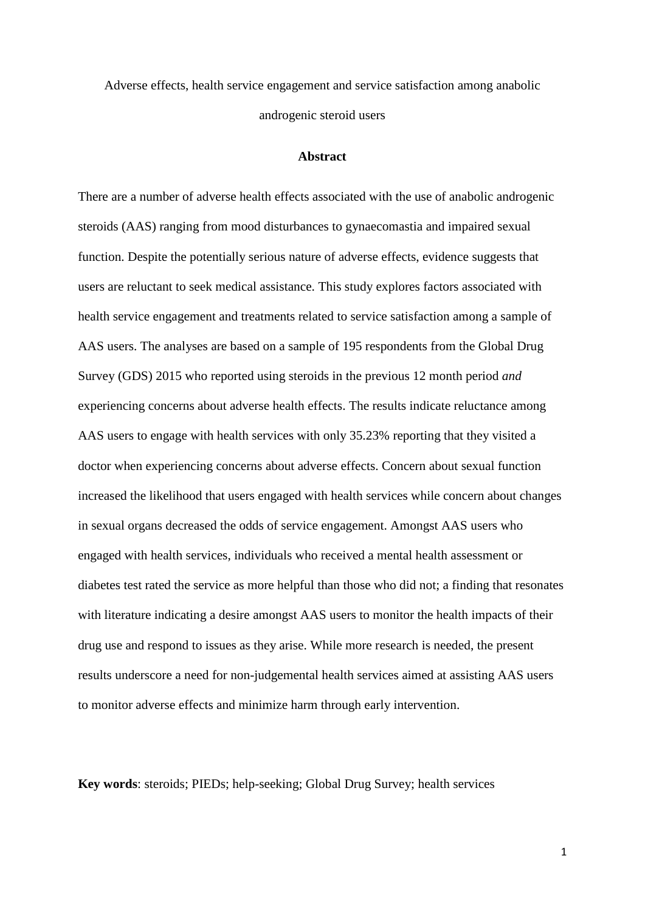Adverse effects, health service engagement and service satisfaction among anabolic androgenic steroid users

#### **Abstract**

There are a number of adverse health effects associated with the use of anabolic androgenic steroids (AAS) ranging from mood disturbances to gynaecomastia and impaired sexual function. Despite the potentially serious nature of adverse effects, evidence suggests that users are reluctant to seek medical assistance. This study explores factors associated with health service engagement and treatments related to service satisfaction among a sample of AAS users. The analyses are based on a sample of 195 respondents from the Global Drug Survey (GDS) 2015 who reported using steroids in the previous 12 month period *and* experiencing concerns about adverse health effects. The results indicate reluctance among AAS users to engage with health services with only 35.23% reporting that they visited a doctor when experiencing concerns about adverse effects. Concern about sexual function increased the likelihood that users engaged with health services while concern about changes in sexual organs decreased the odds of service engagement. Amongst AAS users who engaged with health services, individuals who received a mental health assessment or diabetes test rated the service as more helpful than those who did not; a finding that resonates with literature indicating a desire amongst AAS users to monitor the health impacts of their drug use and respond to issues as they arise. While more research is needed, the present results underscore a need for non-judgemental health services aimed at assisting AAS users to monitor adverse effects and minimize harm through early intervention.

**Key words**: steroids; PIEDs; help-seeking; Global Drug Survey; health services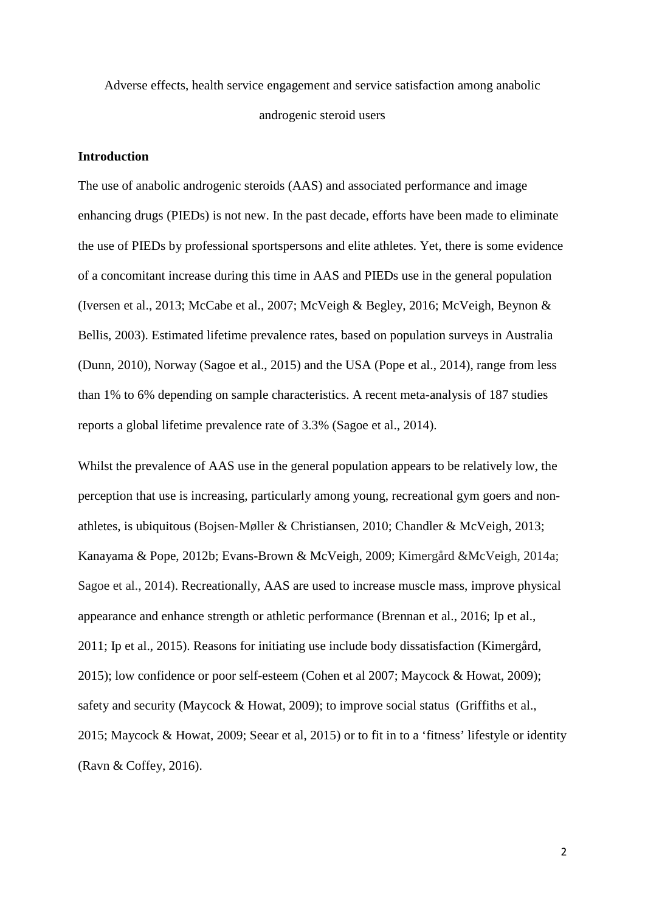Adverse effects, health service engagement and service satisfaction among anabolic

#### androgenic steroid users

## **Introduction**

The use of anabolic androgenic steroids (AAS) and associated performance and image enhancing drugs (PIEDs) is not new. In the past decade, efforts have been made to eliminate the use of PIEDs by professional sportspersons and elite athletes. Yet, there is some evidence of a concomitant increase during this time in AAS and PIEDs use in the general population (Iversen et al., 2013; McCabe et al., 2007; McVeigh & Begley, 2016; McVeigh, Beynon & Bellis, 2003). Estimated lifetime prevalence rates, based on population surveys in Australia (Dunn, 2010), Norway (Sagoe et al., 2015) and the USA (Pope et al., 2014), range from less than 1% to 6% depending on sample characteristics. A recent meta-analysis of 187 studies reports a global lifetime prevalence rate of 3.3% (Sagoe et al., 2014).

Whilst the prevalence of AAS use in the general population appears to be relatively low, the perception that use is increasing, particularly among young, recreational gym goers and nonathletes, is ubiquitous (Bojsen‐Møller & Christiansen, 2010; Chandler & McVeigh, 2013; Kanayama & Pope, 2012b; Evans-Brown & McVeigh, 2009; Kimergård &McVeigh, 2014a; Sagoe et al., 2014). Recreationally, AAS are used to increase muscle mass, improve physical appearance and enhance strength or athletic performance (Brennan et al., 2016; Ip et al., 2011; Ip et al., 2015). Reasons for initiating use include body dissatisfaction (Kimergård, 2015); low confidence or poor self-esteem (Cohen et al 2007; Maycock & Howat, 2009); safety and security (Maycock & Howat, 2009); to improve social status (Griffiths et al., 2015; Maycock & Howat, 2009; Seear et al, 2015) or to fit in to a 'fitness' lifestyle or identity (Ravn & Coffey, 2016).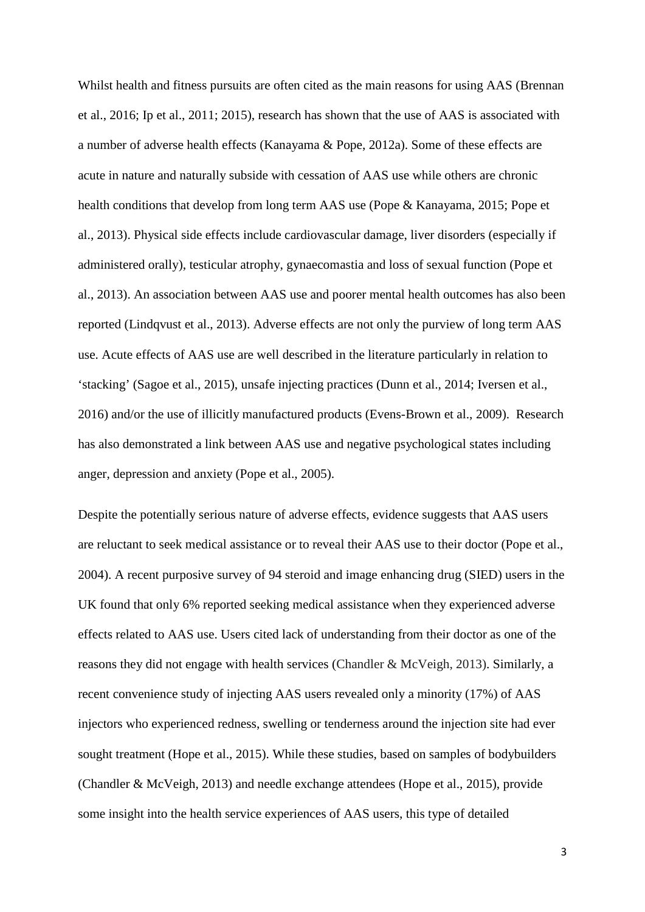Whilst health and fitness pursuits are often cited as the main reasons for using AAS (Brennan et al., 2016; Ip et al., 2011; 2015), research has shown that the use of AAS is associated with a number of adverse health effects (Kanayama & Pope, 2012a). Some of these effects are acute in nature and naturally subside with cessation of AAS use while others are chronic health conditions that develop from long term AAS use (Pope & Kanayama, 2015; Pope et al., 2013). Physical side effects include cardiovascular damage, liver disorders (especially if administered orally), testicular atrophy, gynaecomastia and loss of sexual function (Pope et al., 2013). An association between AAS use and poorer mental health outcomes has also been reported (Lindqvust et al., 2013). Adverse effects are not only the purview of long term AAS use. Acute effects of AAS use are well described in the literature particularly in relation to 'stacking' (Sagoe et al., 2015), unsafe injecting practices (Dunn et al., 2014; Iversen et al., 2016) and/or the use of illicitly manufactured products (Evens-Brown et al., 2009). Research has also demonstrated a link between AAS use and negative psychological states including anger, depression and anxiety (Pope et al., 2005).

Despite the potentially serious nature of adverse effects, evidence suggests that AAS users are reluctant to seek medical assistance or to reveal their AAS use to their doctor (Pope et al., 2004). A recent purposive survey of 94 steroid and image enhancing drug (SIED) users in the UK found that only 6% reported seeking medical assistance when they experienced adverse effects related to AAS use. Users cited lack of understanding from their doctor as one of the reasons they did not engage with health services (Chandler & McVeigh, 2013). Similarly, a recent convenience study of injecting AAS users revealed only a minority (17%) of AAS injectors who experienced redness, swelling or tenderness around the injection site had ever sought treatment (Hope et al., 2015). While these studies, based on samples of bodybuilders (Chandler & McVeigh, 2013) and needle exchange attendees (Hope et al., 2015), provide some insight into the health service experiences of AAS users, this type of detailed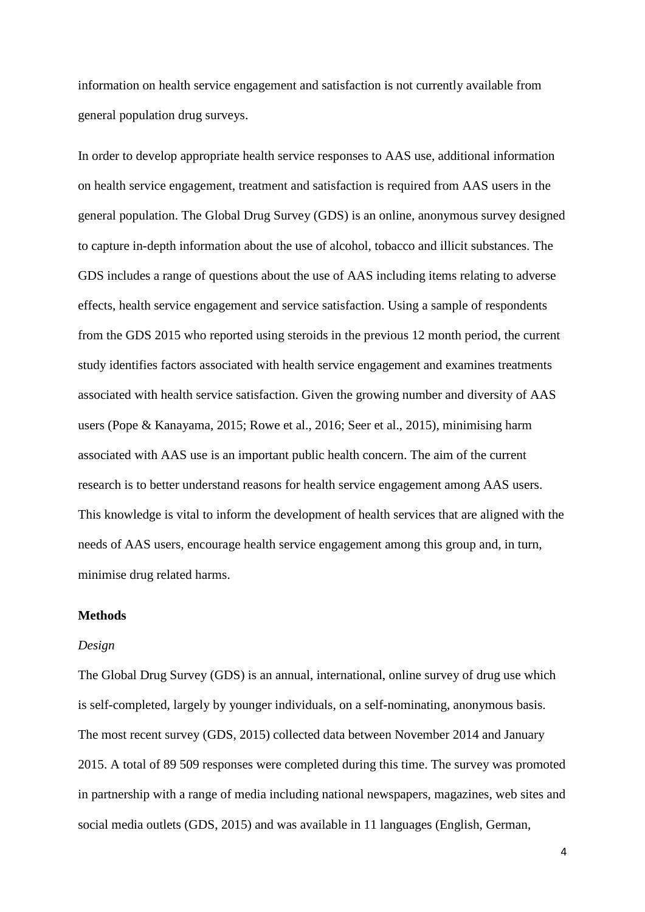information on health service engagement and satisfaction is not currently available from general population drug surveys.

In order to develop appropriate health service responses to AAS use, additional information on health service engagement, treatment and satisfaction is required from AAS users in the general population. The Global Drug Survey (GDS) is an online, anonymous survey designed to capture in-depth information about the use of alcohol, tobacco and illicit substances. The GDS includes a range of questions about the use of AAS including items relating to adverse effects, health service engagement and service satisfaction. Using a sample of respondents from the GDS 2015 who reported using steroids in the previous 12 month period, the current study identifies factors associated with health service engagement and examines treatments associated with health service satisfaction. Given the growing number and diversity of AAS users (Pope & Kanayama, 2015; Rowe et al., 2016; Seer et al., 2015), minimising harm associated with AAS use is an important public health concern. The aim of the current research is to better understand reasons for health service engagement among AAS users. This knowledge is vital to inform the development of health services that are aligned with the needs of AAS users, encourage health service engagement among this group and, in turn, minimise drug related harms.

### **Methods**

#### *Design*

The Global Drug Survey (GDS) is an annual, international, online survey of drug use which is self-completed, largely by younger individuals, on a self-nominating, anonymous basis. The most recent survey (GDS, 2015) collected data between November 2014 and January 2015. A total of 89 509 responses were completed during this time. The survey was promoted in partnership with a range of media including national newspapers, magazines, web sites and social media outlets (GDS, 2015) and was available in 11 languages (English, German,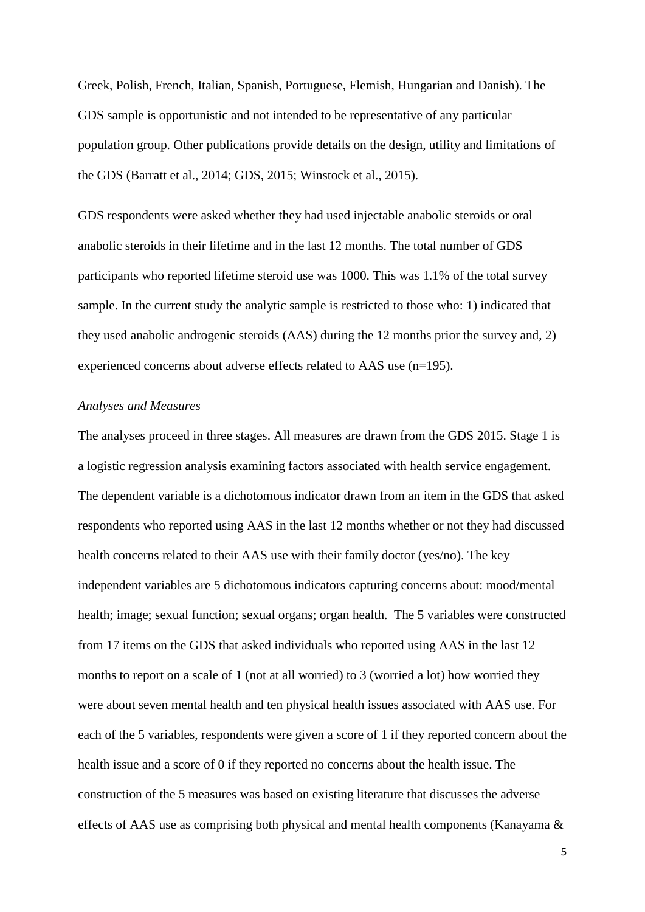Greek, Polish, French, Italian, Spanish, Portuguese, Flemish, Hungarian and Danish). The GDS sample is opportunistic and not intended to be representative of any particular population group. Other publications provide details on the design, utility and limitations of the GDS (Barratt et al., 2014; GDS, 2015; Winstock et al., 2015).

GDS respondents were asked whether they had used injectable anabolic steroids or oral anabolic steroids in their lifetime and in the last 12 months. The total number of GDS participants who reported lifetime steroid use was 1000. This was 1.1% of the total survey sample. In the current study the analytic sample is restricted to those who: 1) indicated that they used anabolic androgenic steroids (AAS) during the 12 months prior the survey and, 2) experienced concerns about adverse effects related to AAS use (n=195).

#### *Analyses and Measures*

The analyses proceed in three stages. All measures are drawn from the GDS 2015. Stage 1 is a logistic regression analysis examining factors associated with health service engagement. The dependent variable is a dichotomous indicator drawn from an item in the GDS that asked respondents who reported using AAS in the last 12 months whether or not they had discussed health concerns related to their AAS use with their family doctor (yes/no). The key independent variables are 5 dichotomous indicators capturing concerns about: mood/mental health; image; sexual function; sexual organs; organ health. The 5 variables were constructed from 17 items on the GDS that asked individuals who reported using AAS in the last 12 months to report on a scale of 1 (not at all worried) to 3 (worried a lot) how worried they were about seven mental health and ten physical health issues associated with AAS use. For each of the 5 variables, respondents were given a score of 1 if they reported concern about the health issue and a score of 0 if they reported no concerns about the health issue. The construction of the 5 measures was based on existing literature that discusses the adverse effects of AAS use as comprising both physical and mental health components (Kanayama &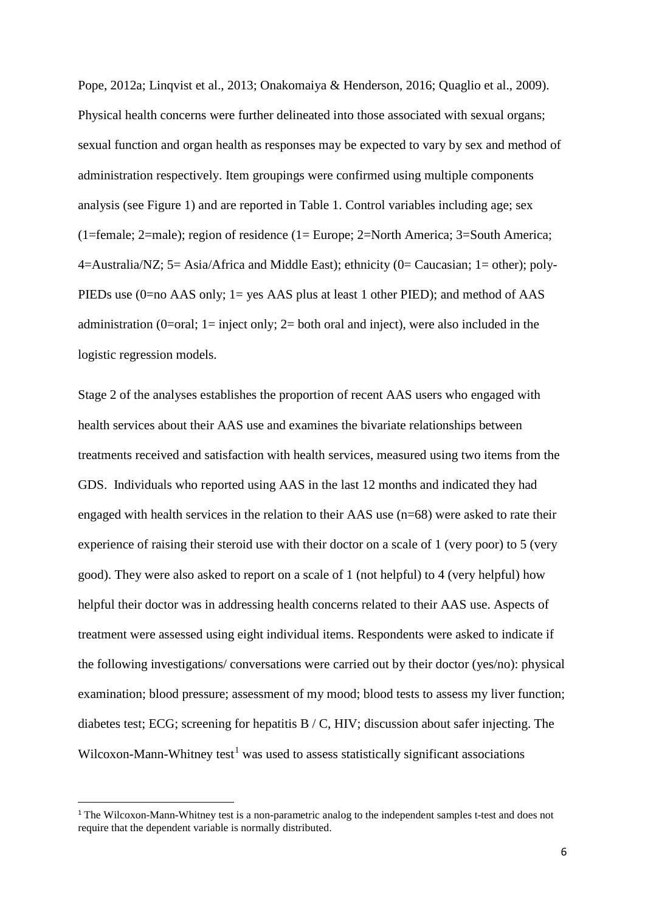Pope, 2012a; Linqvist et al., 2013; Onakomaiya & Henderson, 2016; Quaglio et al., 2009). Physical health concerns were further delineated into those associated with sexual organs; sexual function and organ health as responses may be expected to vary by sex and method of administration respectively. Item groupings were confirmed using multiple components analysis (see Figure 1) and are reported in Table 1. Control variables including age; sex (1=female; 2=male); region of residence (1= Europe; 2=North America; 3=South America; 4=Australia/NZ; 5= Asia/Africa and Middle East); ethnicity (0= Caucasian; 1= other); poly-PIEDs use (0=no AAS only; 1= yes AAS plus at least 1 other PIED); and method of AAS administration (0=oral; 1= inject only; 2= both oral and inject), were also included in the logistic regression models.

Stage 2 of the analyses establishes the proportion of recent AAS users who engaged with health services about their AAS use and examines the bivariate relationships between treatments received and satisfaction with health services, measured using two items from the GDS. Individuals who reported using AAS in the last 12 months and indicated they had engaged with health services in the relation to their AAS use (n=68) were asked to rate their experience of raising their steroid use with their doctor on a scale of 1 (very poor) to 5 (very good). They were also asked to report on a scale of 1 (not helpful) to 4 (very helpful) how helpful their doctor was in addressing health concerns related to their AAS use. Aspects of treatment were assessed using eight individual items. Respondents were asked to indicate if the following investigations/ conversations were carried out by their doctor (yes/no): physical examination; blood pressure; assessment of my mood; blood tests to assess my liver function; diabetes test; ECG; screening for hepatitis B / C, HIV; discussion about safer injecting. The Wilcoxon-Mann-Whitney test<sup>[1](#page-6-0)</sup> was used to assess statistically significant associations

<span id="page-6-0"></span> <sup>1</sup> The Wilcoxon-Mann-Whitney test is a non-parametric analog to the independent samples t-test and does not require that the dependent variable is normally distributed.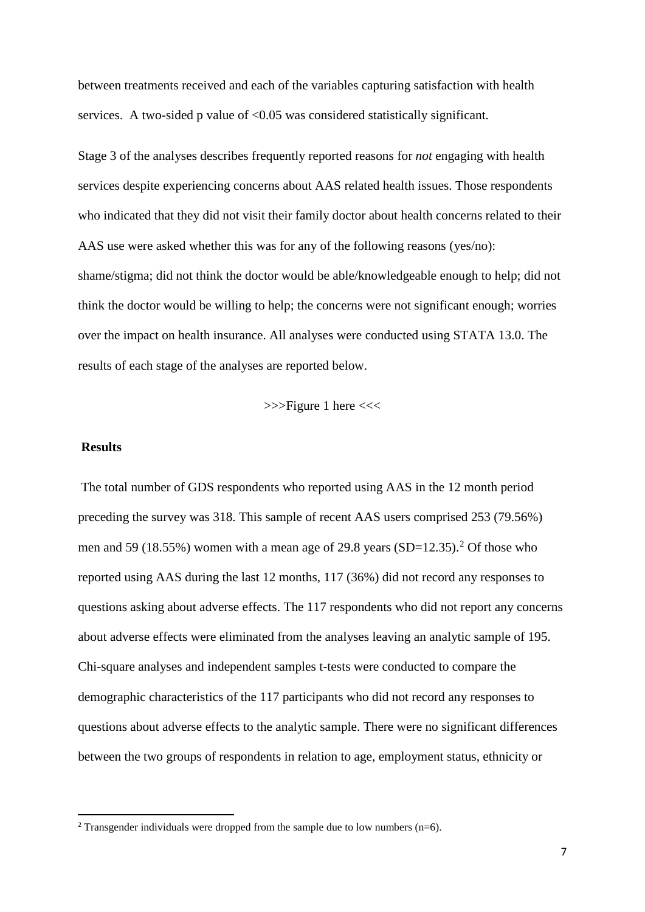between treatments received and each of the variables capturing satisfaction with health services. A two-sided p value of  $\leq 0.05$  was considered statistically significant.

Stage 3 of the analyses describes frequently reported reasons for *not* engaging with health services despite experiencing concerns about AAS related health issues. Those respondents who indicated that they did not visit their family doctor about health concerns related to their AAS use were asked whether this was for any of the following reasons (yes/no): shame/stigma; did not think the doctor would be able/knowledgeable enough to help; did not think the doctor would be willing to help; the concerns were not significant enough; worries over the impact on health insurance. All analyses were conducted using STATA 13.0. The results of each stage of the analyses are reported below.

>>>Figure 1 here <<<

### **Results**

The total number of GDS respondents who reported using AAS in the 12 month period preceding the survey was 318. This sample of recent AAS users comprised 253 (79.56%) men and 59 (18.55%) women with a mean age of [2](#page-7-0)9.8 years  $(SD=12.35)$ .<sup>2</sup> Of those who reported using AAS during the last 12 months, 117 (36%) did not record any responses to questions asking about adverse effects. The 117 respondents who did not report any concerns about adverse effects were eliminated from the analyses leaving an analytic sample of 195. Chi-square analyses and independent samples t-tests were conducted to compare the demographic characteristics of the 117 participants who did not record any responses to questions about adverse effects to the analytic sample. There were no significant differences between the two groups of respondents in relation to age, employment status, ethnicity or

<span id="page-7-0"></span><sup>&</sup>lt;sup>2</sup> Transgender individuals were dropped from the sample due to low numbers  $(n=6)$ .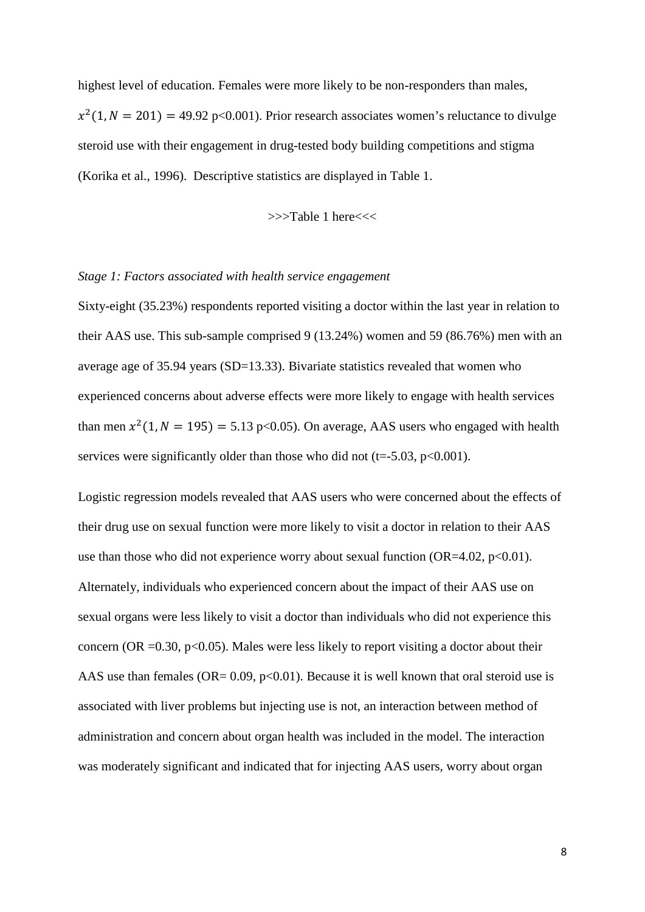highest level of education. Females were more likely to be non-responders than males,  $\chi^2(1, N = 201) = 49.92 \text{ p} < 0.001$ ). Prior research associates women's reluctance to divulge steroid use with their engagement in drug-tested body building competitions and stigma (Korika et al., 1996). Descriptive statistics are displayed in Table 1.

>>>Table 1 here<<<

#### *Stage 1: Factors associated with health service engagement*

Sixty-eight (35.23%) respondents reported visiting a doctor within the last year in relation to their AAS use. This sub-sample comprised 9 (13.24%) women and 59 (86.76%) men with an average age of 35.94 years (SD=13.33). Bivariate statistics revealed that women who experienced concerns about adverse effects were more likely to engage with health services than men  $x^2(1, N = 195) = 5.13$  p<0.05). On average, AAS users who engaged with health services were significantly older than those who did not  $(t=5.03, p<0.001)$ .

Logistic regression models revealed that AAS users who were concerned about the effects of their drug use on sexual function were more likely to visit a doctor in relation to their AAS use than those who did not experience worry about sexual function ( $OR=4.02$ ,  $p<0.01$ ). Alternately, individuals who experienced concern about the impact of their AAS use on sexual organs were less likely to visit a doctor than individuals who did not experience this concern (OR  $=0.30$ , p $< 0.05$ ). Males were less likely to report visiting a doctor about their AAS use than females ( $OR = 0.09$ ,  $p < 0.01$ ). Because it is well known that oral steroid use is associated with liver problems but injecting use is not, an interaction between method of administration and concern about organ health was included in the model. The interaction was moderately significant and indicated that for injecting AAS users, worry about organ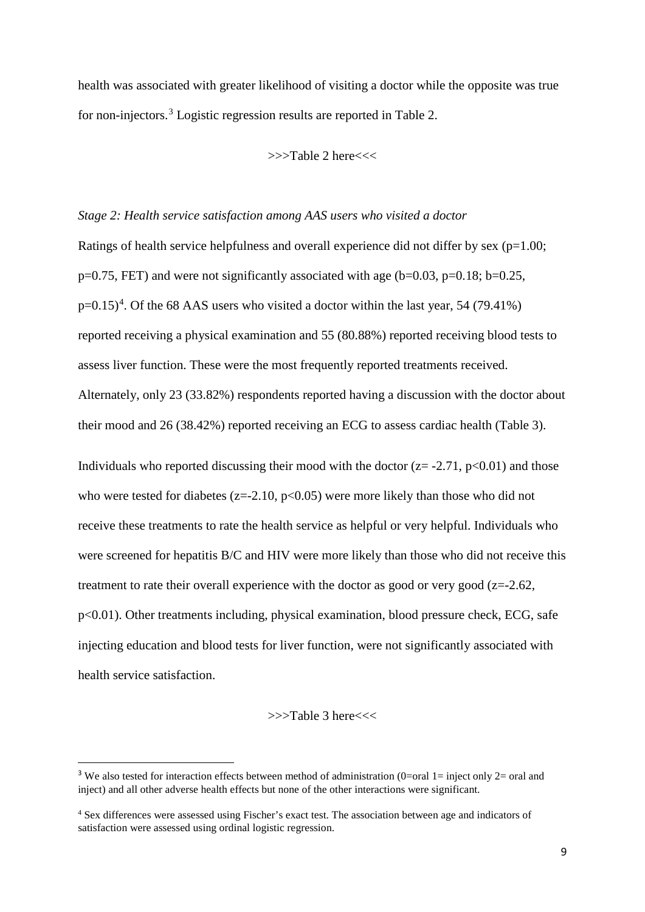health was associated with greater likelihood of visiting a doctor while the opposite was true for non-injectors.[3](#page-9-0) Logistic regression results are reported in Table 2.

#### >>>Table 2 here<<<

#### *Stage 2: Health service satisfaction among AAS users who visited a doctor*

Ratings of health service helpfulness and overall experience did not differ by sex ( $p=1.00$ ;  $p=0.75$ , FET) and were not significantly associated with age (b=0.03, p=0.18; b=0.25,  $p=0.15$ <sup>[4](#page-9-1)</sup>. Of the 68 AAS users who visited a doctor within the last year, 54 (79.41%) reported receiving a physical examination and 55 (80.88%) reported receiving blood tests to assess liver function. These were the most frequently reported treatments received. Alternately, only 23 (33.82%) respondents reported having a discussion with the doctor about their mood and 26 (38.42%) reported receiving an ECG to assess cardiac health (Table 3). Individuals who reported discussing their mood with the doctor  $(z = -2.71, p < 0.01)$  and those

who were tested for diabetes ( $z=-2.10$ ,  $p<0.05$ ) were more likely than those who did not receive these treatments to rate the health service as helpful or very helpful. Individuals who were screened for hepatitis B/C and HIV were more likely than those who did not receive this treatment to rate their overall experience with the doctor as good or very good (z=-2.62, p<0.01). Other treatments including, physical examination, blood pressure check, ECG, safe injecting education and blood tests for liver function, were not significantly associated with health service satisfaction.

#### >>>Table 3 here<<<

<span id="page-9-0"></span><sup>&</sup>lt;sup>3</sup> We also tested for interaction effects between method of administration (0=oral 1= inject only 2= oral and inject) and all other adverse health effects but none of the other interactions were significant.

<span id="page-9-1"></span><sup>4</sup> Sex differences were assessed using Fischer's exact test. The association between age and indicators of satisfaction were assessed using ordinal logistic regression.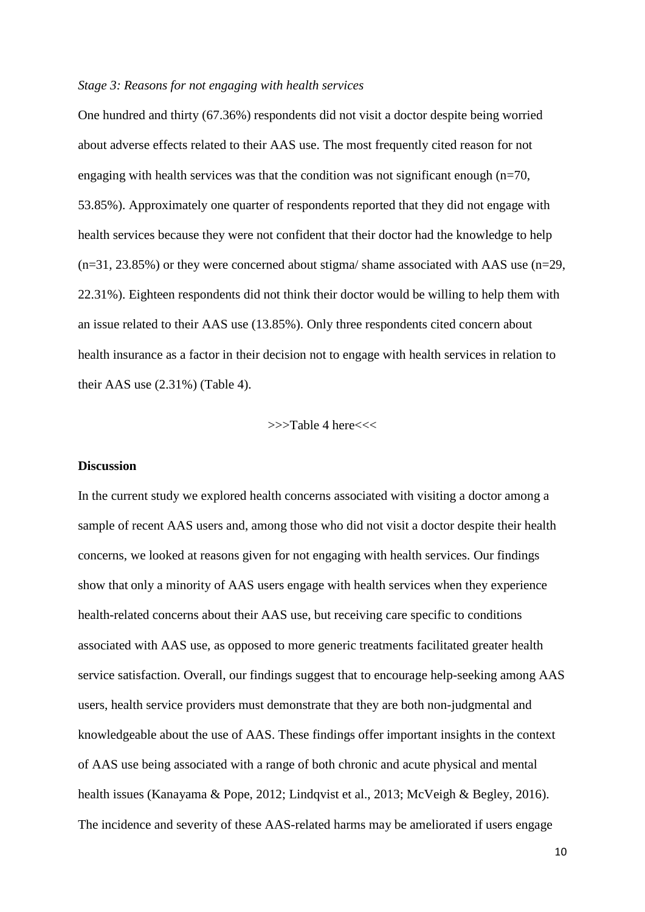#### *Stage 3: Reasons for not engaging with health services*

One hundred and thirty (67.36%) respondents did not visit a doctor despite being worried about adverse effects related to their AAS use. The most frequently cited reason for not engaging with health services was that the condition was not significant enough  $(n=70,$ 53.85%). Approximately one quarter of respondents reported that they did not engage with health services because they were not confident that their doctor had the knowledge to help (n=31, 23.85%) or they were concerned about stigma/ shame associated with AAS use (n=29, 22.31%). Eighteen respondents did not think their doctor would be willing to help them with an issue related to their AAS use (13.85%). Only three respondents cited concern about health insurance as a factor in their decision not to engage with health services in relation to their AAS use (2.31%) (Table 4).

## >>>Table 4 here<<<

#### **Discussion**

In the current study we explored health concerns associated with visiting a doctor among a sample of recent AAS users and, among those who did not visit a doctor despite their health concerns, we looked at reasons given for not engaging with health services. Our findings show that only a minority of AAS users engage with health services when they experience health-related concerns about their AAS use, but receiving care specific to conditions associated with AAS use, as opposed to more generic treatments facilitated greater health service satisfaction. Overall, our findings suggest that to encourage help-seeking among AAS users, health service providers must demonstrate that they are both non-judgmental and knowledgeable about the use of AAS. These findings offer important insights in the context of AAS use being associated with a range of both chronic and acute physical and mental health issues (Kanayama & Pope, 2012; Lindqvist et al., 2013; McVeigh & Begley, 2016). The incidence and severity of these AAS-related harms may be ameliorated if users engage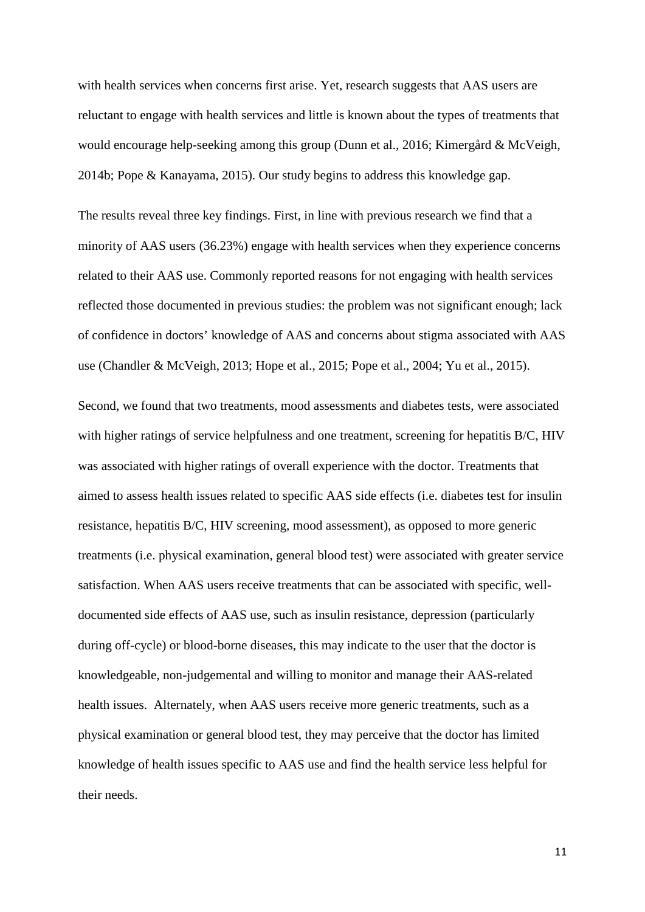with health services when concerns first arise. Yet, research suggests that AAS users are reluctant to engage with health services and little is known about the types of treatments that would encourage help-seeking among this group (Dunn et al., 2016; Kimergård & McVeigh, 2014b; Pope & Kanayama, 2015). Our study begins to address this knowledge gap.

The results reveal three key findings. First, in line with previous research we find that a minority of AAS users (36.23%) engage with health services when they experience concerns related to their AAS use. Commonly reported reasons for not engaging with health services reflected those documented in previous studies: the problem was not significant enough; lack of confidence in doctors' knowledge of AAS and concerns about stigma associated with AAS use (Chandler & McVeigh, 2013; Hope et al., 2015; Pope et al., 2004; Yu et al., 2015).

Second, we found that two treatments, mood assessments and diabetes tests, were associated with higher ratings of service helpfulness and one treatment, screening for hepatitis B/C, HIV was associated with higher ratings of overall experience with the doctor. Treatments that aimed to assess health issues related to specific AAS side effects (i.e. diabetes test for insulin resistance, hepatitis B/C, HIV screening, mood assessment), as opposed to more generic treatments (i.e. physical examination, general blood test) were associated with greater service satisfaction. When AAS users receive treatments that can be associated with specific, welldocumented side effects of AAS use, such as insulin resistance, depression (particularly during off-cycle) or blood-borne diseases, this may indicate to the user that the doctor is knowledgeable, non-judgemental and willing to monitor and manage their AAS-related health issues. Alternately, when AAS users receive more generic treatments, such as a physical examination or general blood test, they may perceive that the doctor has limited knowledge of health issues specific to AAS use and find the health service less helpful for their needs.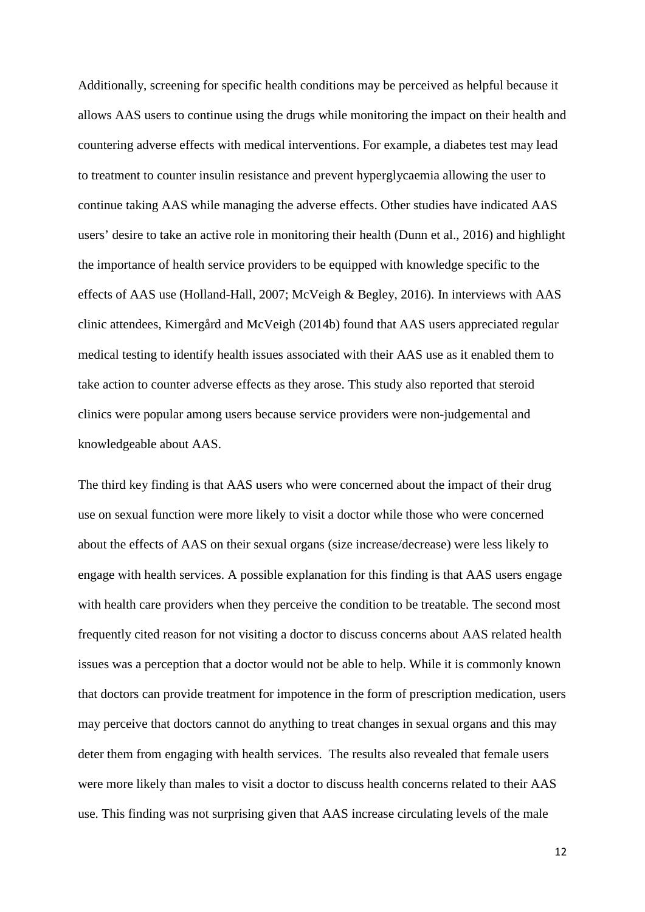Additionally, screening for specific health conditions may be perceived as helpful because it allows AAS users to continue using the drugs while monitoring the impact on their health and countering adverse effects with medical interventions. For example, a diabetes test may lead to treatment to counter insulin resistance and prevent hyperglycaemia allowing the user to continue taking AAS while managing the adverse effects. Other studies have indicated AAS users' desire to take an active role in monitoring their health (Dunn et al., 2016) and highlight the importance of health service providers to be equipped with knowledge specific to the effects of AAS use (Holland-Hall, 2007; McVeigh & Begley, 2016). In interviews with AAS clinic attendees, Kimergård and McVeigh (2014b) found that AAS users appreciated regular medical testing to identify health issues associated with their AAS use as it enabled them to take action to counter adverse effects as they arose. This study also reported that steroid clinics were popular among users because service providers were non-judgemental and knowledgeable about AAS.

The third key finding is that AAS users who were concerned about the impact of their drug use on sexual function were more likely to visit a doctor while those who were concerned about the effects of AAS on their sexual organs (size increase/decrease) were less likely to engage with health services. A possible explanation for this finding is that AAS users engage with health care providers when they perceive the condition to be treatable. The second most frequently cited reason for not visiting a doctor to discuss concerns about AAS related health issues was a perception that a doctor would not be able to help. While it is commonly known that doctors can provide treatment for impotence in the form of prescription medication, users may perceive that doctors cannot do anything to treat changes in sexual organs and this may deter them from engaging with health services. The results also revealed that female users were more likely than males to visit a doctor to discuss health concerns related to their AAS use. This finding was not surprising given that AAS increase circulating levels of the male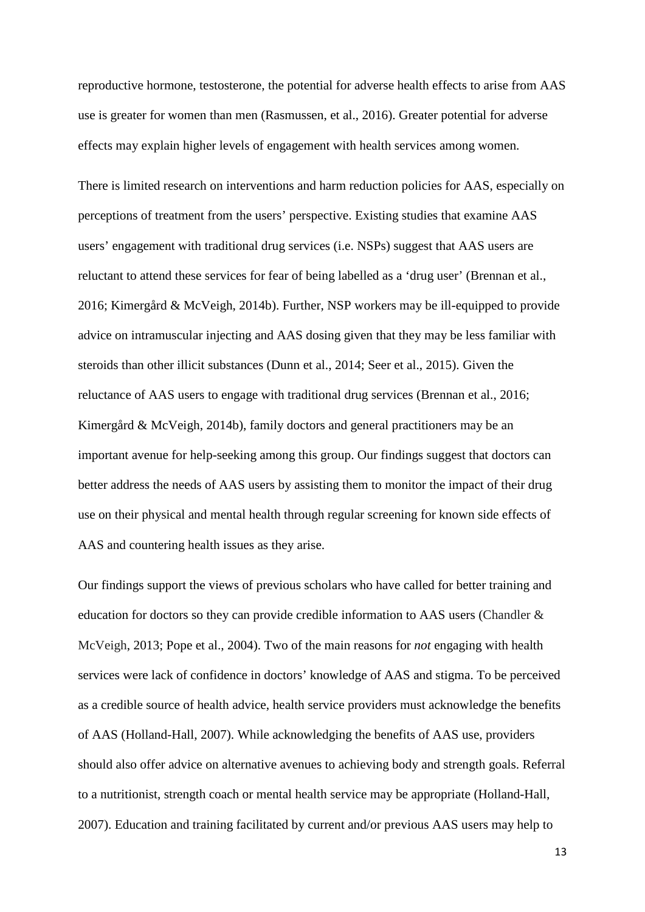reproductive hormone, testosterone, the potential for adverse health effects to arise from AAS use is greater for women than men (Rasmussen, et al., 2016). Greater potential for adverse effects may explain higher levels of engagement with health services among women.

There is limited research on interventions and harm reduction policies for AAS, especially on perceptions of treatment from the users' perspective. Existing studies that examine AAS users' engagement with traditional drug services (i.e. NSPs) suggest that AAS users are reluctant to attend these services for fear of being labelled as a 'drug user' (Brennan et al., 2016; Kimergård & McVeigh, 2014b). Further, NSP workers may be ill-equipped to provide advice on intramuscular injecting and AAS dosing given that they may be less familiar with steroids than other illicit substances (Dunn et al., 2014; Seer et al., 2015). Given the reluctance of AAS users to engage with traditional drug services (Brennan et al., 2016; Kimergård & McVeigh, 2014b), family doctors and general practitioners may be an important avenue for help-seeking among this group. Our findings suggest that doctors can better address the needs of AAS users by assisting them to monitor the impact of their drug use on their physical and mental health through regular screening for known side effects of AAS and countering health issues as they arise.

Our findings support the views of previous scholars who have called for better training and education for doctors so they can provide credible information to AAS users (Chandler & McVeigh, 2013; Pope et al., 2004). Two of the main reasons for *not* engaging with health services were lack of confidence in doctors' knowledge of AAS and stigma. To be perceived as a credible source of health advice, health service providers must acknowledge the benefits of AAS (Holland-Hall, 2007). While acknowledging the benefits of AAS use, providers should also offer advice on alternative avenues to achieving body and strength goals. Referral to a nutritionist, strength coach or mental health service may be appropriate (Holland-Hall, 2007). Education and training facilitated by current and/or previous AAS users may help to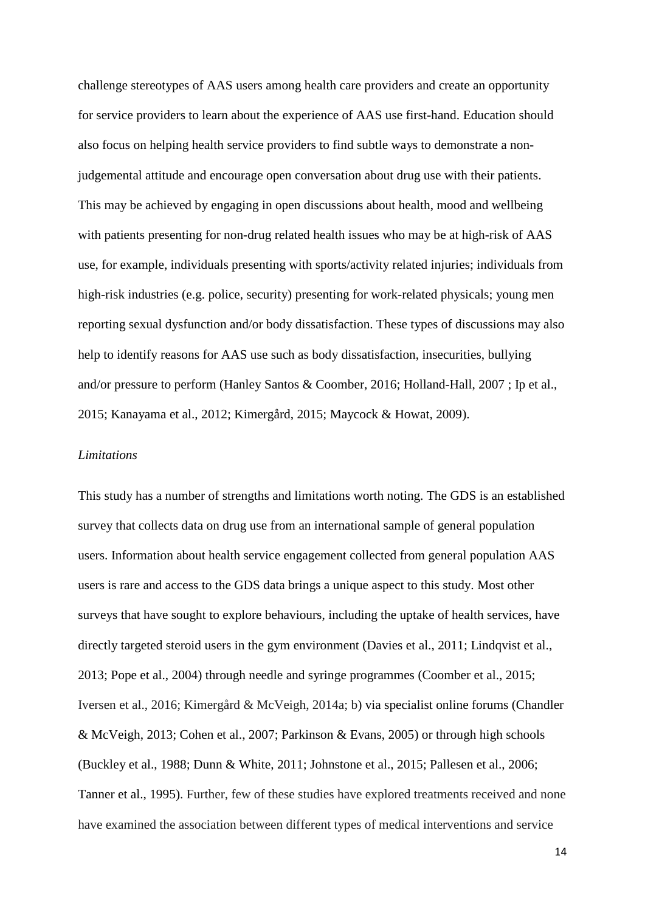challenge stereotypes of AAS users among health care providers and create an opportunity for service providers to learn about the experience of AAS use first-hand. Education should also focus on helping health service providers to find subtle ways to demonstrate a nonjudgemental attitude and encourage open conversation about drug use with their patients. This may be achieved by engaging in open discussions about health, mood and wellbeing with patients presenting for non-drug related health issues who may be at high-risk of AAS use, for example, individuals presenting with sports/activity related injuries; individuals from high-risk industries (e.g. police, security) presenting for work-related physicals; young men reporting sexual dysfunction and/or body dissatisfaction. These types of discussions may also help to identify reasons for AAS use such as body dissatisfaction, insecurities, bullying and/or pressure to perform (Hanley Santos & Coomber, 2016; Holland-Hall, 2007 ; Ip et al., 2015; Kanayama et al., 2012; Kimergård, 2015; Maycock & Howat, 2009).

#### *Limitations*

This study has a number of strengths and limitations worth noting. The GDS is an established survey that collects data on drug use from an international sample of general population users. Information about health service engagement collected from general population AAS users is rare and access to the GDS data brings a unique aspect to this study. Most other surveys that have sought to explore behaviours, including the uptake of health services, have directly targeted steroid users in the gym environment (Davies et al., 2011; Lindqvist et al., 2013; Pope et al., 2004) through needle and syringe programmes (Coomber et al., 2015; Iversen et al., 2016; Kimergård & McVeigh, 2014a; b) via specialist online forums (Chandler & McVeigh, 2013; Cohen et al., 2007; Parkinson & Evans, 2005) or through high schools (Buckley et al., 1988; Dunn & White, 2011; Johnstone et al., 2015; Pallesen et al., 2006; Tanner et al., 1995). Further, few of these studies have explored treatments received and none have examined the association between different types of medical interventions and service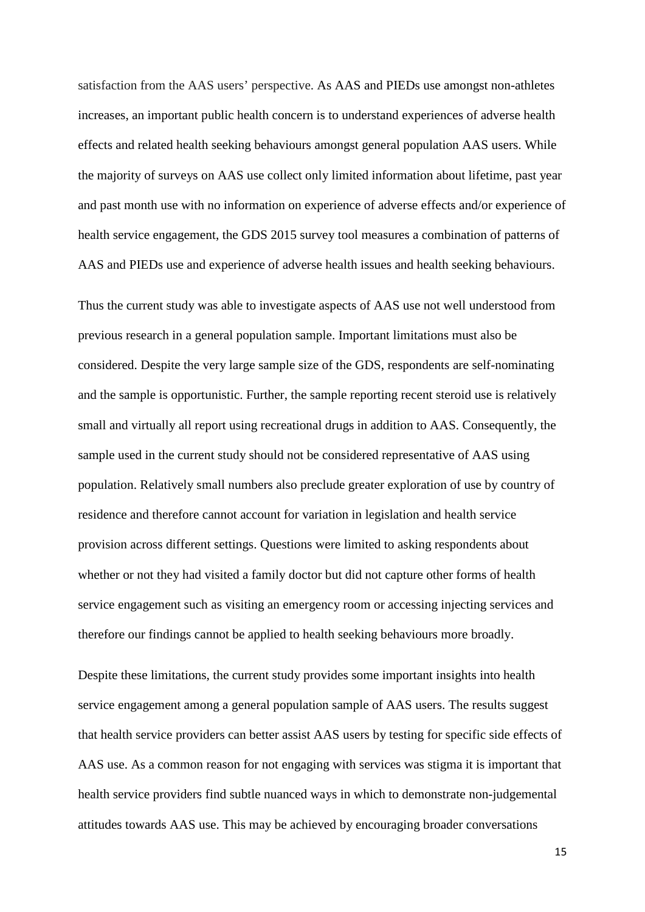satisfaction from the AAS users' perspective. As AAS and PIEDs use amongst non-athletes increases, an important public health concern is to understand experiences of adverse health effects and related health seeking behaviours amongst general population AAS users. While the majority of surveys on AAS use collect only limited information about lifetime, past year and past month use with no information on experience of adverse effects and/or experience of health service engagement, the GDS 2015 survey tool measures a combination of patterns of AAS and PIEDs use and experience of adverse health issues and health seeking behaviours.

Thus the current study was able to investigate aspects of AAS use not well understood from previous research in a general population sample. Important limitations must also be considered. Despite the very large sample size of the GDS, respondents are self-nominating and the sample is opportunistic. Further, the sample reporting recent steroid use is relatively small and virtually all report using recreational drugs in addition to AAS. Consequently, the sample used in the current study should not be considered representative of AAS using population. Relatively small numbers also preclude greater exploration of use by country of residence and therefore cannot account for variation in legislation and health service provision across different settings. Questions were limited to asking respondents about whether or not they had visited a family doctor but did not capture other forms of health service engagement such as visiting an emergency room or accessing injecting services and therefore our findings cannot be applied to health seeking behaviours more broadly.

Despite these limitations, the current study provides some important insights into health service engagement among a general population sample of AAS users. The results suggest that health service providers can better assist AAS users by testing for specific side effects of AAS use. As a common reason for not engaging with services was stigma it is important that health service providers find subtle nuanced ways in which to demonstrate non-judgemental attitudes towards AAS use. This may be achieved by encouraging broader conversations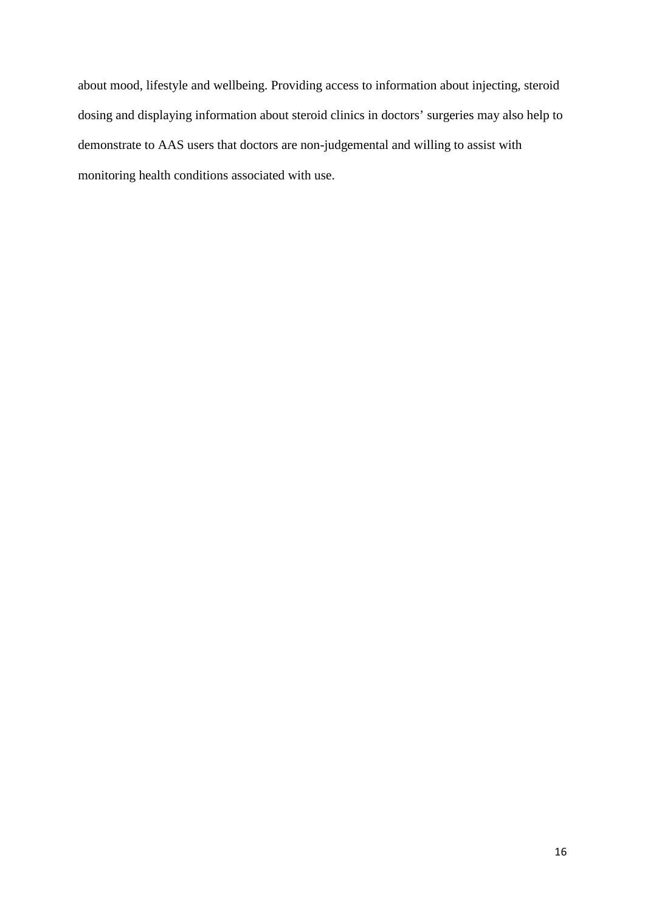about mood, lifestyle and wellbeing. Providing access to information about injecting, steroid dosing and displaying information about steroid clinics in doctors' surgeries may also help to demonstrate to AAS users that doctors are non-judgemental and willing to assist with monitoring health conditions associated with use.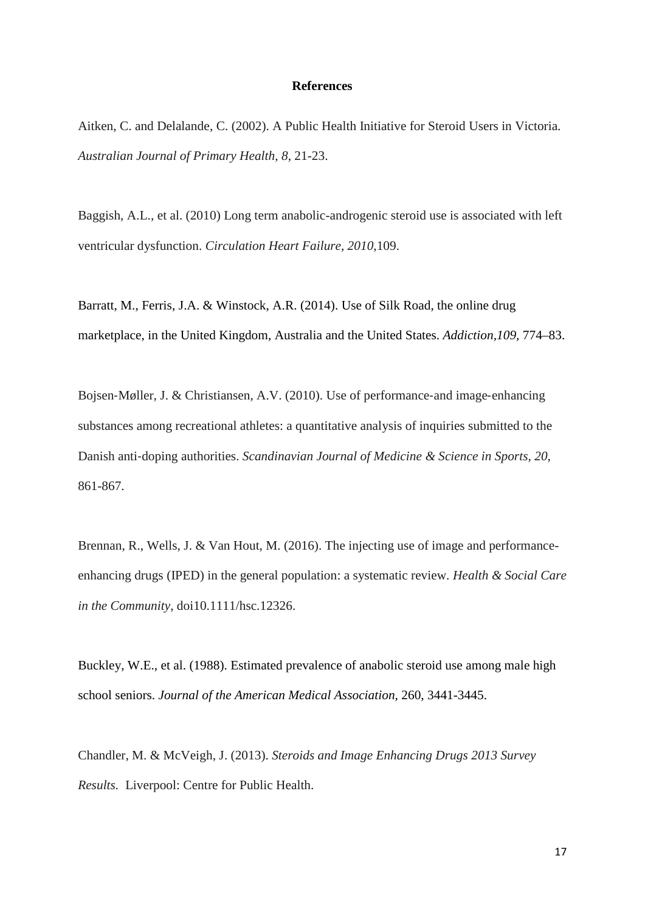#### **References**

Aitken, C. and Delalande, C. (2002). A Public Health Initiative for Steroid Users in Victoria. *Australian Journal of Primary Health, 8*, 21-23.

Baggish, A.L., et al. (2010) Long term anabolic-androgenic steroid use is associated with left ventricular dysfunction. *Circulation Heart Failure, 2010*,109.

Barratt, M., Ferris, J.A. & Winstock, A.R. (2014). Use of Silk Road, the online drug marketplace, in the United Kingdom, Australia and the United States. *Addiction,109,* 774–83.

Bojsen-Møller, J. & Christiansen, A.V. (2010). Use of performance-and image-enhancing substances among recreational athletes: a quantitative analysis of inquiries submitted to the Danish anti-doping authorities. *Scandinavian Journal of Medicine & Science in Sports*, 20, 861-867.

Brennan, R., Wells, J. & Van Hout, M. (2016). The injecting use of image and performanceenhancing drugs (IPED) in the general population: a systematic review. *Health & Social Care in the Community*, doi10.1111/hsc.12326.

Buckley, W.E., et al. (1988). Estimated prevalence of anabolic steroid use among male high school seniors. *Journal of the American Medical Association,* 260, 3441-3445.

Chandler, M. & McVeigh, J. (2013). *Steroids and Image Enhancing Drugs 2013 Survey Results.* Liverpool: Centre for Public Health.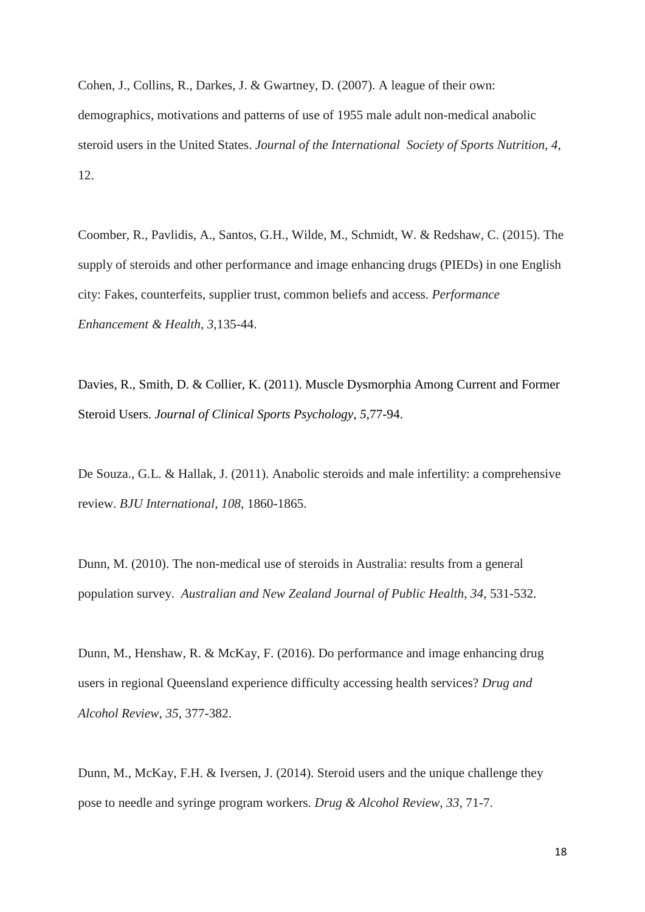Cohen, J., Collins, R., Darkes, J. & Gwartney, D. (2007). A league of their own: demographics, motivations and patterns of use of 1955 male adult non-medical anabolic steroid users in the United States. *Journal of the International Society of Sports Nutrition, 4*, 12.

Coomber, R., Pavlidis, A., Santos, G.H., Wilde, M., Schmidt, W. & Redshaw, C. (2015). The supply of steroids and other performance and image enhancing drugs (PIEDs) in one English city: Fakes, counterfeits, supplier trust, common beliefs and access. *Performance Enhancement & Health, 3*,135-44.

Davies, R., Smith, D. & Collier, K. (2011). Muscle Dysmorphia Among Current and Former Steroid Users. *Journal of Clinical Sports Psychology, 5*,77-94.

De Souza., G.L. & Hallak, J. (2011). Anabolic steroids and male infertility: a comprehensive review. *BJU International, 108*, 1860-1865.

Dunn, M. (2010). The non-medical use of steroids in Australia: results from a general population survey. *Australian and New Zealand Journal of Public Health, 34*, 531-532.

Dunn, M., Henshaw, R. & McKay, F. (2016). Do performance and image enhancing drug users in regional Queensland experience difficulty accessing health services? *Drug and Alcohol Review, 35*, 377-382.

Dunn, M., McKay, F.H. & Iversen, J. (2014). Steroid users and the unique challenge they pose to needle and syringe program workers. *Drug & Alcohol Review, 33*, 71-7.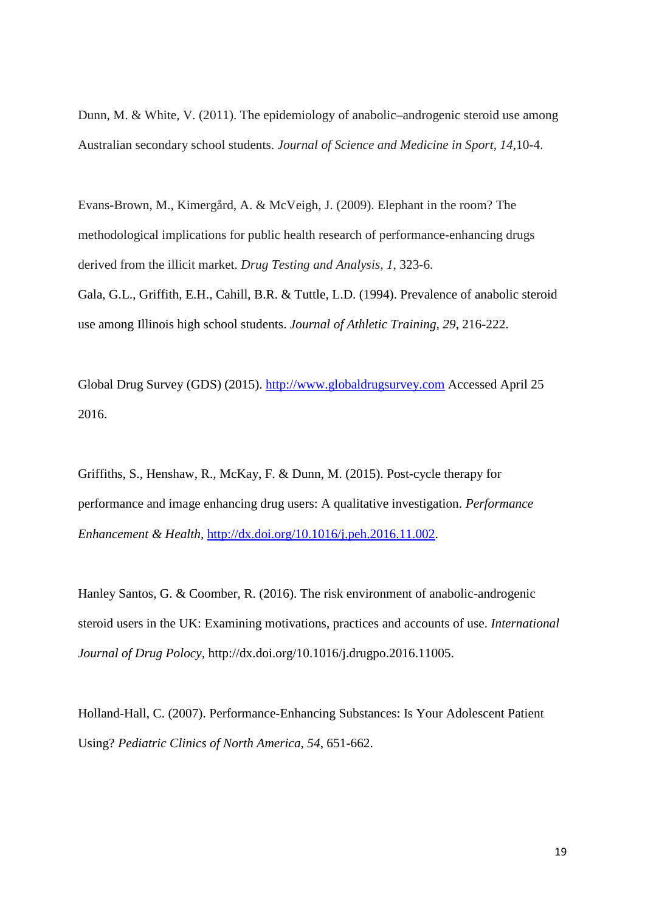Dunn, M. & White, V. (2011). The epidemiology of anabolic–androgenic steroid use among Australian secondary school students. *Journal of Science and Medicine in Sport, 14*,10-4.

Evans-Brown, M., Kimergård, A. & McVeigh, J. (2009). Elephant in the room? The methodological implications for public health research of performance-enhancing drugs derived from the illicit market. *Drug Testing and Analysis, 1*, 323-6. Gala, G.L., Griffith, E.H., Cahill, B.R. & Tuttle, L.D. (1994). Prevalence of anabolic steroid

use among Illinois high school students. *Journal of Athletic Training, 29*, 216-222.

Global Drug Survey (GDS) (2015). [http://www.globaldrugsurvey.com](http://www.globaldrugsurvey.com/) Accessed April 25 2016.

Griffiths, S., Henshaw, R., McKay, F. & Dunn, M. (2015). Post-cycle therapy for performance and image enhancing drug users: A qualitative investigation. *Performance Enhancement & Health,* [http://dx.doi.org/10.1016/j.peh.2016.11.002.](http://dx.doi.org/10.1016/j.peh.2016.11.002)

Hanley Santos, G. & Coomber, R. (2016). The risk environment of anabolic-androgenic steroid users in the UK: Examining motivations, practices and accounts of use. *International Journal of Drug Polocy,* http://dx.doi.org/10.1016/j.drugpo.2016.11005.

Holland-Hall, C. (2007). Performance-Enhancing Substances: Is Your Adolescent Patient Using? *Pediatric Clinics of North America, 54*, 651-662.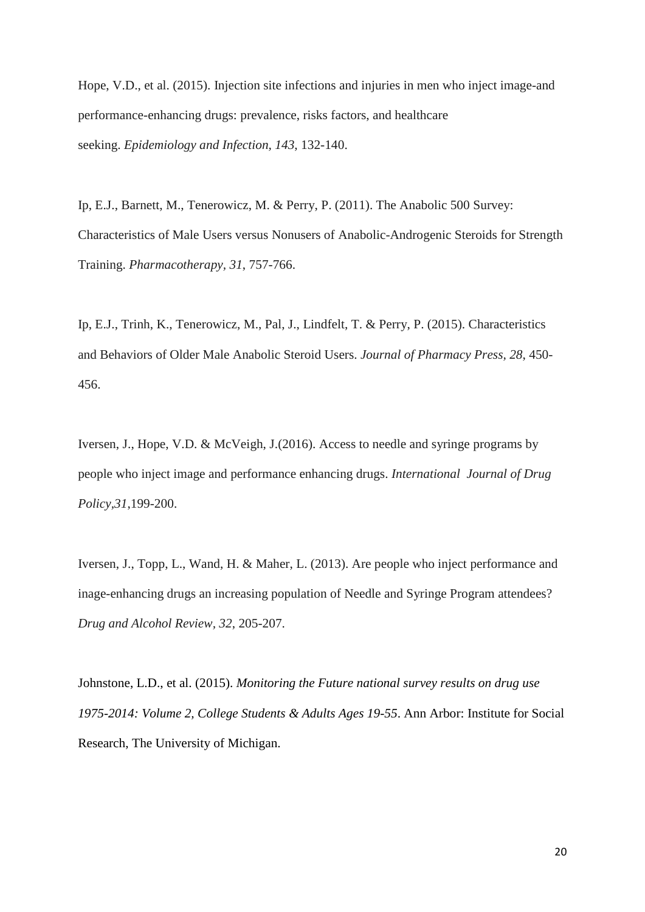Hope, V.D., et al. (2015). Injection site infections and injuries in men who inject image-and performance-enhancing drugs: prevalence, risks factors, and healthcare seeking. *Epidemiology and Infection, 143*, 132-140.

Ip, E.J., Barnett, M., Tenerowicz, M. & Perry, P. (2011). The Anabolic 500 Survey: Characteristics of Male Users versus Nonusers of Anabolic-Androgenic Steroids for Strength Training. *Pharmacotherapy, 31*, 757-766.

Ip, E.J., Trinh, K., Tenerowicz, M., Pal, J., Lindfelt, T. & Perry, P. (2015). Characteristics and Behaviors of Older Male Anabolic Steroid Users. *Journal of Pharmacy Press, 28*, 450- 456.

Iversen, J., Hope, V.D. & McVeigh, J.(2016). Access to needle and syringe programs by people who inject image and performance enhancing drugs. *International Journal of Drug Policy,31*,199-200.

Iversen, J., Topp, L., Wand, H. & Maher, L. (2013). Are people who inject performance and inage-enhancing drugs an increasing population of Needle and Syringe Program attendees? *Drug and Alcohol Review, 32*, 205-207.

Johnstone, L.D., et al. (2015). *Monitoring the Future national survey results on drug use 1975-2014: Volume 2, College Students & Adults Ages 19-55*. Ann Arbor: Institute for Social Research, The University of Michigan.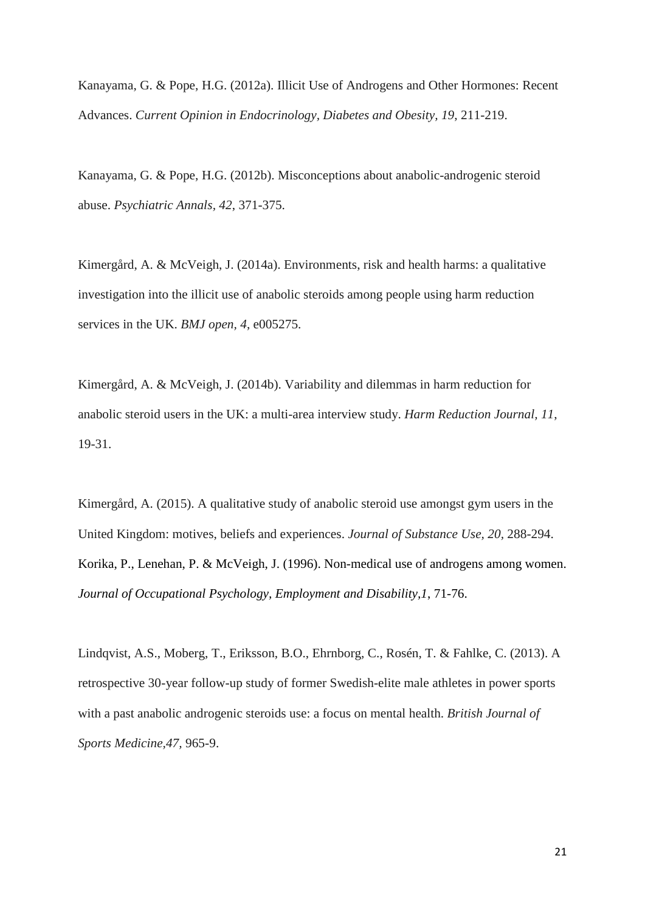Kanayama, G. & Pope, H.G. (2012a). Illicit Use of Androgens and Other Hormones: Recent Advances. *Current Opinion in Endocrinology, Diabetes and Obesity, 19*, 211-219.

Kanayama, G. & Pope, H.G. (2012b). Misconceptions about anabolic-androgenic steroid abuse. *Psychiatric Annals, 42*, 371-375.

Kimergård, A. & McVeigh, J. (2014a). Environments, risk and health harms: a qualitative investigation into the illicit use of anabolic steroids among people using harm reduction services in the UK. *BMJ open, 4*, e005275.

Kimergård, A. & McVeigh, J. (2014b). Variability and dilemmas in harm reduction for anabolic steroid users in the UK: a multi-area interview study. *Harm Reduction Journal, 11*, 19-31.

Kimergård, A. (2015). A qualitative study of anabolic steroid use amongst gym users in the United Kingdom: motives, beliefs and experiences. *Journal of Substance Use, 20,* 288-294. Korika, P., Lenehan, P. & McVeigh, J. (1996). Non-medical use of androgens among women. *Journal of Occupational Psychology, Employment and Disability,1*, 71-76.

Lindqvist, A.S., Moberg, T., Eriksson, B.O., Ehrnborg, C., Rosén, T. & Fahlke, C. (2013). A retrospective 30-year follow-up study of former Swedish-elite male athletes in power sports with a past anabolic androgenic steroids use: a focus on mental health. *British Journal of Sports Medicine,47,* 965-9.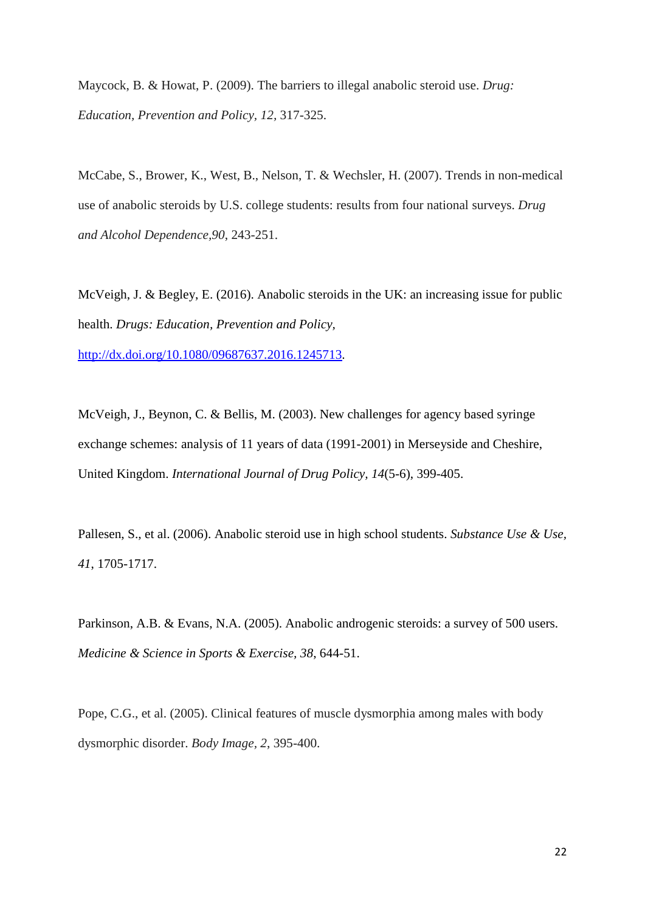Maycock, B. & Howat, P. (2009). The barriers to illegal anabolic steroid use. *Drug: Education, Prevention and Policy, 12,* 317-325.

McCabe, S., Brower, K., West, B., Nelson, T. & Wechsler, H. (2007). Trends in non-medical use of anabolic steroids by U.S. college students: results from four national surveys. *Drug and Alcohol Dependence,90*, 243-251.

McVeigh, J. & Begley, E. (2016). Anabolic steroids in the UK: an increasing issue for public health. *Drugs: Education, Prevention and Policy,* 

[http://dx.doi.org/10.1080/09687637.2016.1245713.](http://dx.doi.org/10.1080/09687637.2016.1245713)

McVeigh, J., Beynon, C. & Bellis, M. (2003). New challenges for agency based syringe exchange schemes: analysis of 11 years of data (1991-2001) in Merseyside and Cheshire, United Kingdom. *International Journal of Drug Policy, 14*(5-6), 399-405.

Pallesen, S., et al. (2006). Anabolic steroid use in high school students. *Substance Use & Use, 41*, 1705-1717.

Parkinson, A.B. & Evans, N.A. (2005). Anabolic androgenic steroids: a survey of 500 users. *Medicine & Science in Sports & Exercise, 38*, 644-51.

Pope, C.G., et al. (2005). Clinical features of muscle dysmorphia among males with body dysmorphic disorder. *Body Image, 2*, 395-400.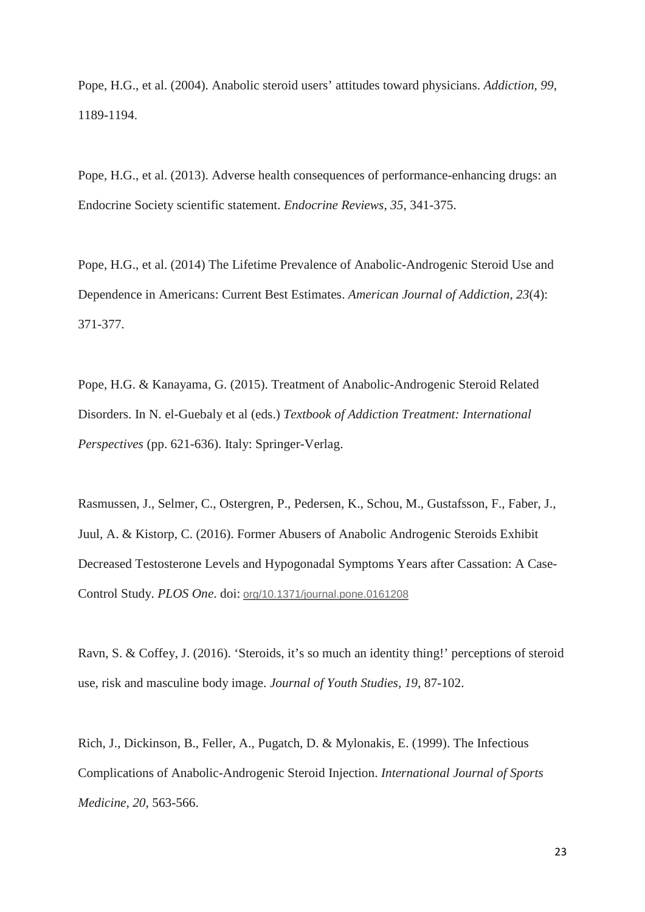Pope, H.G., et al. (2004). Anabolic steroid users' attitudes toward physicians. *Addiction, 99*, 1189-1194.

Pope, H.G., et al. (2013). Adverse health consequences of performance-enhancing drugs: an Endocrine Society scientific statement. *Endocrine Reviews, 35*, 341-375.

Pope, H.G., et al. (2014) The Lifetime Prevalence of Anabolic-Androgenic Steroid Use and Dependence in Americans: Current Best Estimates. *American Journal of Addiction, 23*(4): 371-377.

Pope, H.G. & Kanayama, G. (2015). Treatment of Anabolic-Androgenic Steroid Related Disorders. In N. el-Guebaly et al (eds.) *Textbook of Addiction Treatment: International Perspectives* (pp. 621-636). Italy: Springer-Verlag.

Rasmussen, J., Selmer, C., Ostergren, P., Pedersen, K., Schou, M., Gustafsson, F., Faber, J., Juul, A. & Kistorp, C. (2016). Former Abusers of Anabolic Androgenic Steroids Exhibit Decreased Testosterone Levels and Hypogonadal Symptoms Years after Cassation: A Case-Control Study. *PLOS One*. doi: [org/10.1371/journal.pone.0161208](http://dx.doi.org/10.1371/journal.pone.0161208)

Ravn, S. & Coffey, J. (2016). 'Steroids, it's so much an identity thing!' perceptions of steroid use, risk and masculine body image. *Journal of Youth Studies, 19*, 87-102.

Rich, J., Dickinson, B., Feller, A., Pugatch, D. & Mylonakis, E. (1999). The Infectious Complications of Anabolic-Androgenic Steroid Injection. *International Journal of Sports Medicine, 20*, 563-566.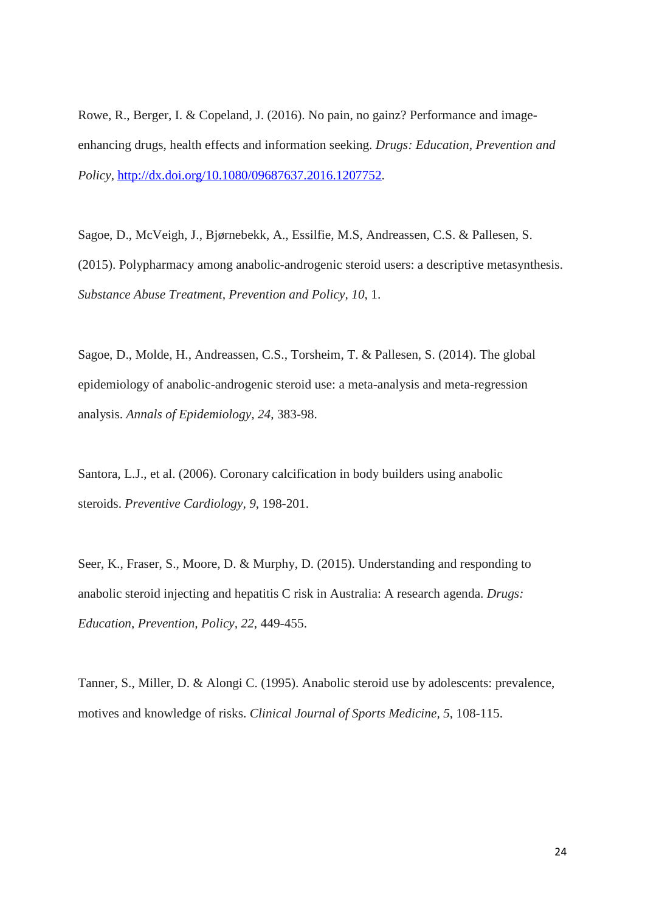Rowe, R., Berger, I. & Copeland, J. (2016). No pain, no gainz? Performance and imageenhancing drugs, health effects and information seeking. *Drugs: Education, Prevention and Policy,* [http://dx.doi.org/10.1080/09687637.2016.1207752.](http://dx.doi.org/10.1080/09687637.2016.1207752)

Sagoe, D., McVeigh, J., Bjørnebekk, A., Essilfie, M.S, Andreassen, C.S. & Pallesen, S. (2015). Polypharmacy among anabolic-androgenic steroid users: a descriptive metasynthesis. *Substance Abuse Treatment, Prevention and Policy, 10*, 1.

Sagoe, D., Molde, H., Andreassen, C.S., Torsheim, T. & Pallesen, S. (2014). The global epidemiology of anabolic-androgenic steroid use: a meta-analysis and meta-regression analysis. *Annals of Epidemiology, 24*, 383-98.

Santora, L.J., et al. (2006). Coronary calcification in body builders using anabolic steroids. *Preventive Cardiology, 9*, 198-201.

Seer, K., Fraser, S., Moore, D. & Murphy, D. (2015). Understanding and responding to anabolic steroid injecting and hepatitis C risk in Australia: A research agenda. *Drugs: Education, Prevention, Policy, 22*, 449-455.

Tanner, S., Miller, D. & Alongi C. (1995). Anabolic steroid use by adolescents: prevalence, motives and knowledge of risks. *Clinical Journal of Sports Medicine, 5*, 108-115.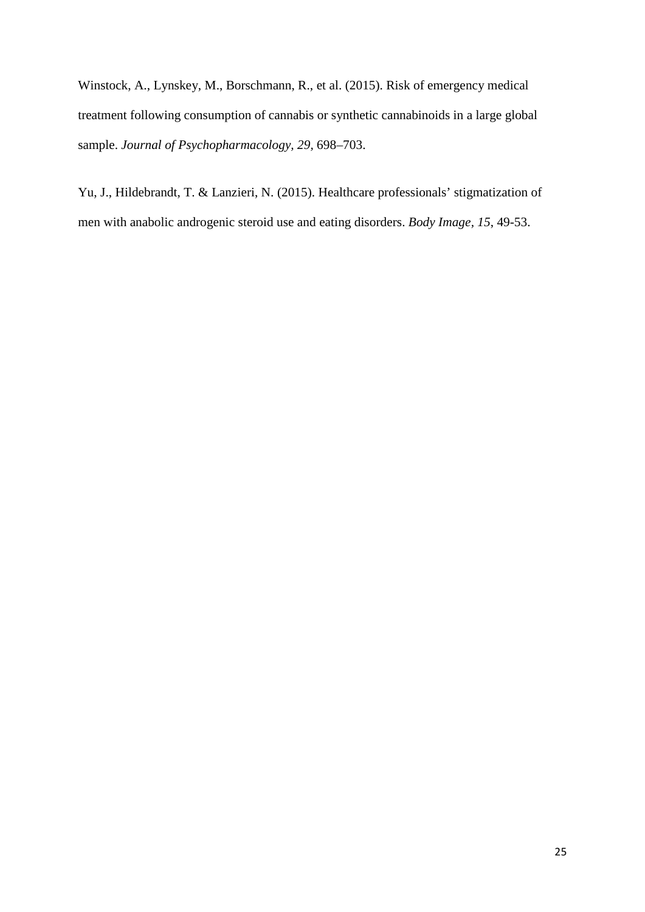Winstock, A., Lynskey, M., Borschmann, R., et al. (2015). Risk of emergency medical treatment following consumption of cannabis or synthetic cannabinoids in a large global sample. *Journal of Psychopharmacology, 29,* 698–703.

Yu, J., Hildebrandt, T. & Lanzieri, N. (2015). Healthcare professionals' stigmatization of men with anabolic androgenic steroid use and eating disorders. *Body Image, 15*, 49-53.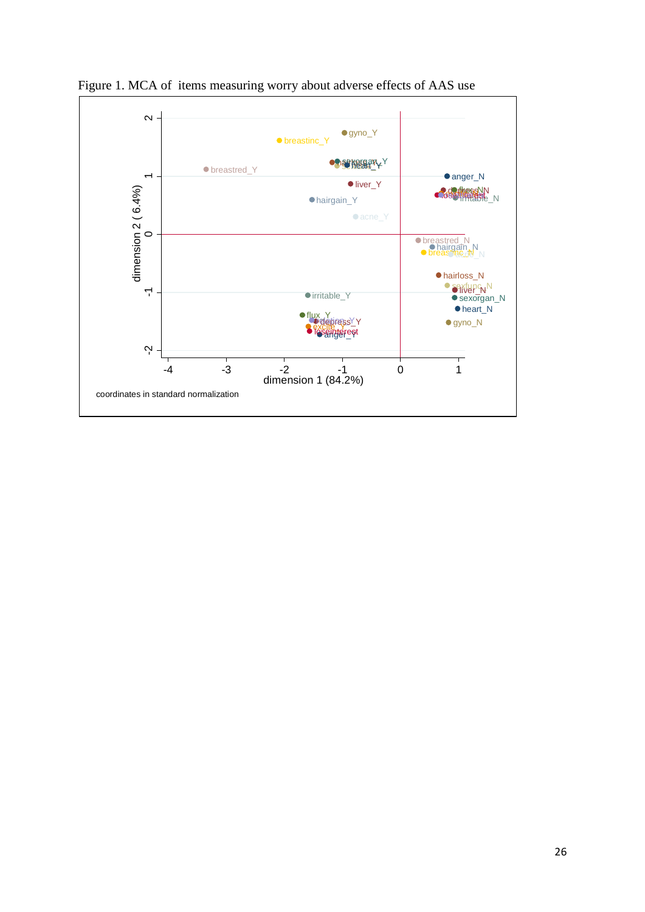

Figure 1. MCA of items measuring worry about adverse effects of AAS use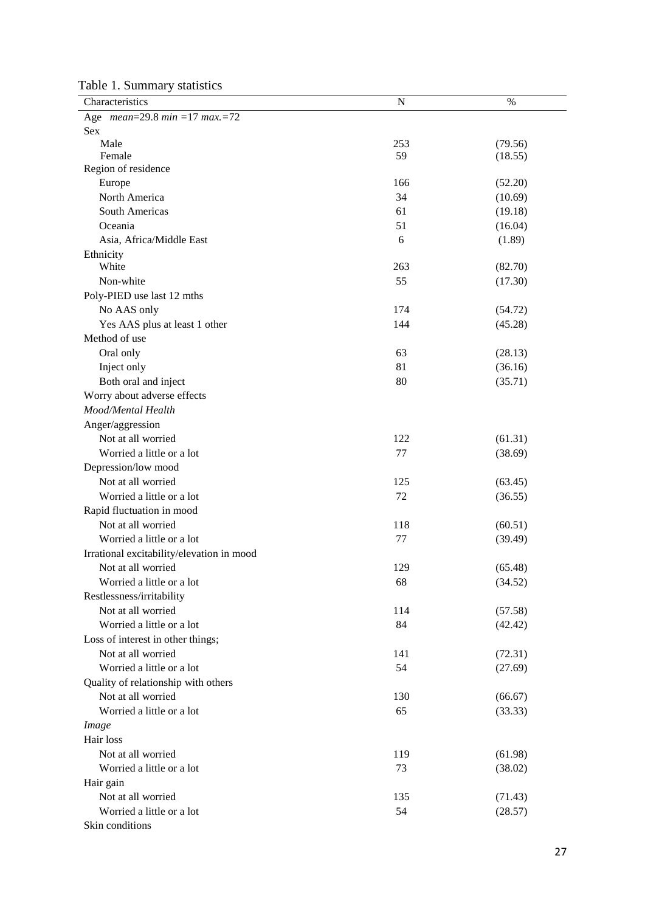Table 1. Summary statistics

| Characteristics<br>N                      | $\%$    |
|-------------------------------------------|---------|
| Age $mean=29.8 \, min = 17 \, max = 72$   |         |
| Sex                                       |         |
| Male<br>253                               | (79.56) |
| 59<br>Female                              | (18.55) |
| Region of residence                       |         |
| 166<br>Europe                             | (52.20) |
| 34<br>North America                       | (10.69) |
| South Americas<br>61                      | (19.18) |
| Oceania<br>51                             | (16.04) |
| Asia, Africa/Middle East<br>6             | (1.89)  |
| Ethnicity                                 |         |
| White<br>263                              | (82.70) |
| 55<br>Non-white                           | (17.30) |
| Poly-PIED use last 12 mths                |         |
| No AAS only<br>174                        | (54.72) |
| 144<br>Yes AAS plus at least 1 other      | (45.28) |
| Method of use                             |         |
| Oral only<br>63                           | (28.13) |
| 81<br>Inject only                         | (36.16) |
| Both oral and inject<br>80                | (35.71) |
| Worry about adverse effects               |         |
| Mood/Mental Health                        |         |
| Anger/aggression                          |         |
| Not at all worried<br>122                 | (61.31) |
| Worried a little or a lot<br>77           | (38.69) |
| Depression/low mood                       |         |
| Not at all worried<br>125                 | (63.45) |
| Worried a little or a lot<br>72           | (36.55) |
| Rapid fluctuation in mood                 |         |
| Not at all worried<br>118                 | (60.51) |
| Worried a little or a lot<br>77           | (39.49) |
| Irrational excitability/elevation in mood |         |
| Not at all worried<br>129                 | (65.48) |
| 68<br>Worried a little or a lot           | (34.52) |
| Restlessness/irritability                 |         |
| Not at all worried<br>114                 | (57.58) |
| Worried a little or a lot<br>84           | (42.42) |
| Loss of interest in other things;         |         |
| Not at all worried<br>141                 | (72.31) |
| Worried a little or a lot<br>54           | (27.69) |
| Quality of relationship with others       |         |
| Not at all worried<br>130                 | (66.67) |
| Worried a little or a lot<br>65           | (33.33) |
| Image                                     |         |
| Hair loss                                 |         |
| Not at all worried<br>119                 | (61.98) |
| Worried a little or a lot<br>73           | (38.02) |
| Hair gain                                 |         |
| Not at all worried<br>135                 | (71.43) |
| Worried a little or a lot<br>54           | (28.57) |
| Skin conditions                           |         |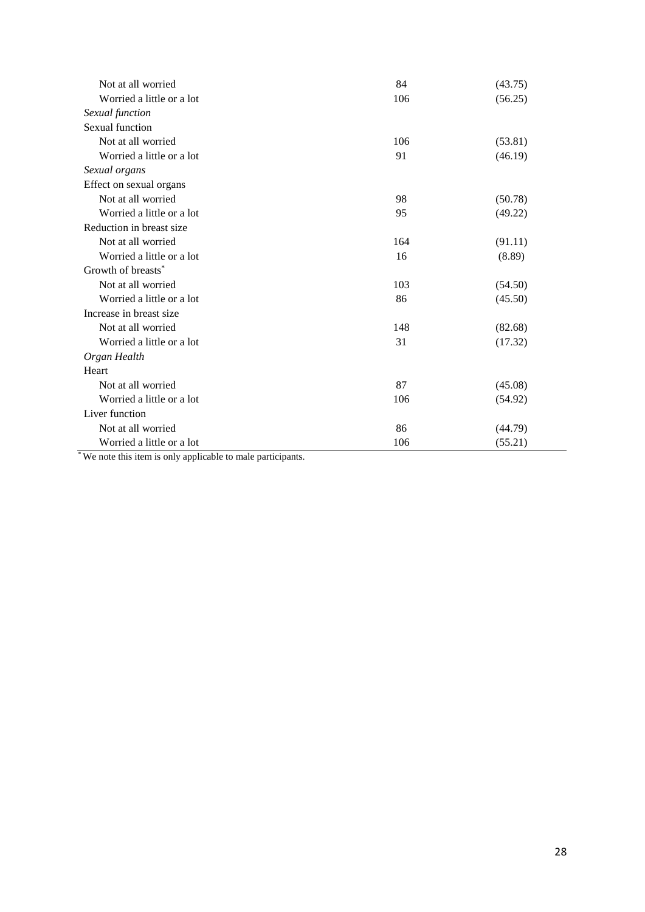| Not at all worried                 | 84  | (43.75) |
|------------------------------------|-----|---------|
| Worried a little or a lot          | 106 | (56.25) |
|                                    |     |         |
| Sexual function<br>Sexual function |     |         |
|                                    |     |         |
| Not at all worried                 | 106 | (53.81) |
| Worried a little or a lot          | 91  | (46.19) |
| Sexual organs                      |     |         |
| Effect on sexual organs            |     |         |
| Not at all worried                 | 98  | (50.78) |
| Worried a little or a lot          | 95  | (49.22) |
| Reduction in breast size           |     |         |
| Not at all worried                 | 164 | (91.11) |
| Worried a little or a lot          | 16  | (8.89)  |
| Growth of breasts <sup>*</sup>     |     |         |
| Not at all worried                 | 103 | (54.50) |
| Worried a little or a lot          | 86  | (45.50) |
| Increase in breast size            |     |         |
| Not at all worried                 | 148 | (82.68) |
| Worried a little or a lot          | 31  | (17.32) |
| Organ Health                       |     |         |
| Heart                              |     |         |
| Not at all worried                 | 87  | (45.08) |
| Worried a little or a lot          | 106 | (54.92) |
| Liver function                     |     |         |
| Not at all worried                 | 86  | (44.79) |
| Worried a little or a lot          | 106 | (55.21) |

\* We note this item is only applicable to male participants.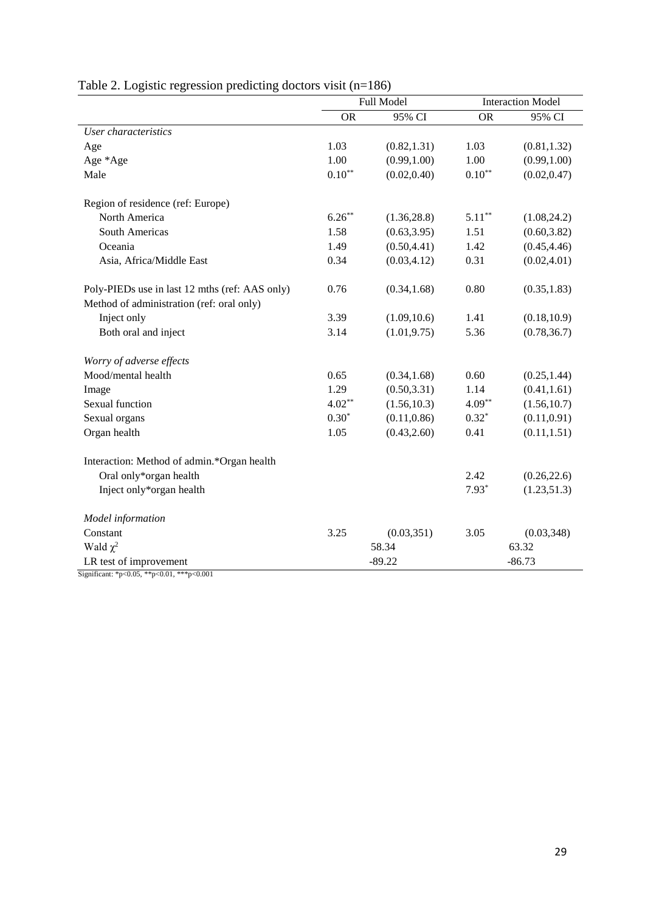|                                                | Full Model |              | <b>Interaction Model</b> |              |
|------------------------------------------------|------------|--------------|--------------------------|--------------|
|                                                | <b>OR</b>  | 95% CI       | <b>OR</b>                | 95% CI       |
| User characteristics                           |            |              |                          |              |
| Age                                            | 1.03       | (0.82, 1.31) | 1.03                     | (0.81, 1.32) |
| Age *Age                                       | 1.00       | (0.99, 1.00) | 1.00                     | (0.99, 1.00) |
| Male                                           | $0.10**$   | (0.02, 0.40) | $0.10^{**}$              | (0.02, 0.47) |
| Region of residence (ref: Europe)              |            |              |                          |              |
| North America                                  | $6.26***$  | (1.36, 28.8) | $5.11***$                | (1.08, 24.2) |
| South Americas                                 | 1.58       | (0.63, 3.95) | 1.51                     | (0.60, 3.82) |
| Oceania                                        | 1.49       | (0.50, 4.41) | 1.42                     | (0.45, 4.46) |
| Asia, Africa/Middle East                       | 0.34       | (0.03, 4.12) | 0.31                     | (0.02, 4.01) |
| Poly-PIEDs use in last 12 mths (ref: AAS only) | 0.76       | (0.34, 1.68) | 0.80                     | (0.35, 1.83) |
| Method of administration (ref: oral only)      |            |              |                          |              |
| Inject only                                    | 3.39       | (1.09, 10.6) | 1.41                     | (0.18, 10.9) |
| Both oral and inject                           | 3.14       | (1.01, 9.75) | 5.36                     | (0.78, 36.7) |
| Worry of adverse effects                       |            |              |                          |              |
| Mood/mental health                             | 0.65       | (0.34, 1.68) | 0.60                     | (0.25, 1.44) |
| Image                                          | 1.29       | (0.50, 3.31) | 1.14                     | (0.41, 1.61) |
| Sexual function                                | $4.02***$  | (1.56, 10.3) | $4.09***$                | (1.56, 10.7) |
| Sexual organs                                  | $0.30*$    | (0.11, 0.86) | $0.32*$                  | (0.11, 0.91) |
| Organ health                                   | 1.05       | (0.43, 2.60) | 0.41                     | (0.11, 1.51) |
| Interaction: Method of admin.*Organ health     |            |              |                          |              |
| Oral only*organ health                         |            |              | 2.42                     | (0.26, 22.6) |
| Inject only*organ health                       |            |              | $7.93*$                  | (1.23, 51.3) |
| Model information                              |            |              |                          |              |
| Constant                                       | 3.25       | (0.03, 351)  | 3.05                     | (0.03, 348)  |
| Wald $\chi^2$                                  |            | 58.34        |                          | 63.32        |
| LR test of improvement                         | $-89.22$   |              | $-86.73$                 |              |

## Table 2. Logistic regression predicting doctors visit (n=186)

Significant: \*p<0.05, \*\*p<0.01, \*\*\*p<0.001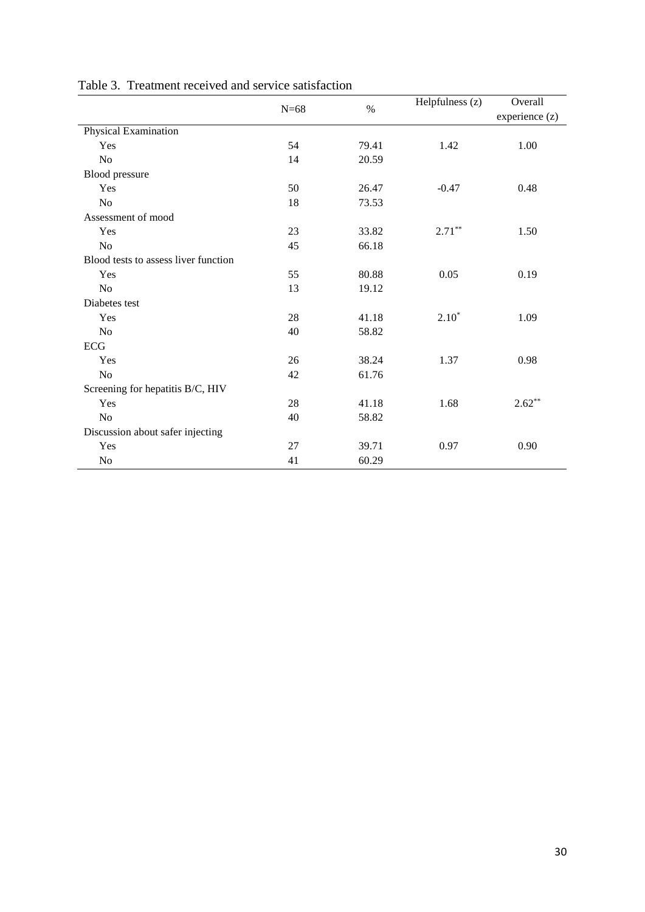|                                      | $N=68$ | $\%$  | Helpfulness (z) | Overall<br>experience (z) |
|--------------------------------------|--------|-------|-----------------|---------------------------|
| Physical Examination                 |        |       |                 |                           |
| Yes                                  | 54     | 79.41 | 1.42            | 1.00                      |
| N <sub>o</sub>                       | 14     | 20.59 |                 |                           |
| Blood pressure                       |        |       |                 |                           |
| Yes                                  | 50     | 26.47 | $-0.47$         | 0.48                      |
| N <sub>o</sub>                       | 18     | 73.53 |                 |                           |
| Assessment of mood                   |        |       |                 |                           |
| Yes                                  | 23     | 33.82 | $2.71***$       | 1.50                      |
| N <sub>o</sub>                       | 45     | 66.18 |                 |                           |
| Blood tests to assess liver function |        |       |                 |                           |
| Yes                                  | 55     | 80.88 | 0.05            | 0.19                      |
| N <sub>o</sub>                       | 13     | 19.12 |                 |                           |
| Diabetes test                        |        |       |                 |                           |
| Yes                                  | 28     | 41.18 | $2.10*$         | 1.09                      |
| N <sub>o</sub>                       | 40     | 58.82 |                 |                           |
| ECG                                  |        |       |                 |                           |
| Yes                                  | 26     | 38.24 | 1.37            | 0.98                      |
| N <sub>o</sub>                       | 42     | 61.76 |                 |                           |
| Screening for hepatitis B/C, HIV     |        |       |                 |                           |
| Yes                                  | 28     | 41.18 | 1.68            | $2.62**$                  |
| N <sub>o</sub>                       | 40     | 58.82 |                 |                           |
| Discussion about safer injecting     |        |       |                 |                           |
| Yes                                  | 27     | 39.71 | 0.97            | 0.90                      |
| No                                   | 41     | 60.29 |                 |                           |

Table 3. Treatment received and service satisfaction